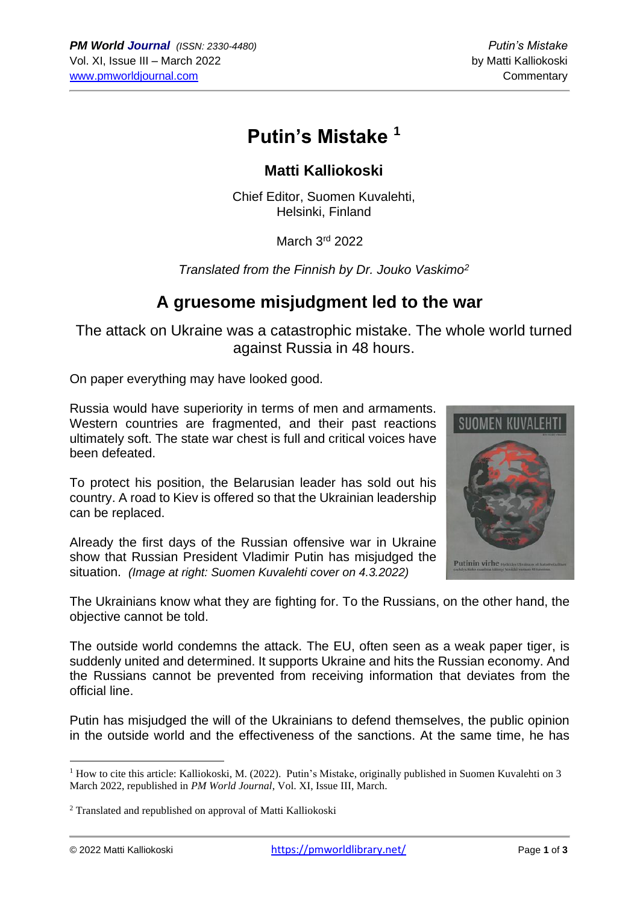# **Putin's Mistake <sup>1</sup>**

### **Matti Kalliokoski**

Chief Editor, Suomen Kuvalehti, Helsinki, Finland

March 3rd 2022

*Translated from the Finnish by Dr. Jouko Vaskimo<sup>2</sup>*

### **A gruesome misjudgment led to the war**

The attack on Ukraine was a catastrophic mistake. The whole world turned against Russia in 48 hours.

On paper everything may have looked good.

Russia would have superiority in terms of men and armaments. Western countries are fragmented, and their past reactions ultimately soft. The state war chest is full and critical voices have been defeated.

To protect his position, the Belarusian leader has sold out his country. A road to Kiev is offered so that the Ukrainian leadership can be replaced.

Already the first days of the Russian offensive war in Ukraine show that Russian President Vladimir Putin has misjudged the situation. *(Image at right: Suomen Kuvalehti cover on 4.3.2022)*



The outside world condemns the attack. The EU, often seen as a weak paper tiger, is suddenly united and determined. It supports Ukraine and hits the Russian economy. And the Russians cannot be prevented from receiving information that deviates from the official line.

Putin has misjudged the will of the Ukrainians to defend themselves, the public opinion in the outside world and the effectiveness of the sanctions. At the same time, he has



 $1$  How to cite this article: Kalliokoski, M. (2022). Putin's Mistake, originally published in Suomen Kuvalehti on 3 March 2022, republished in *PM World Journal*, Vol. XI, Issue III, March.

<sup>2</sup> Translated and republished on approval of Matti Kalliokoski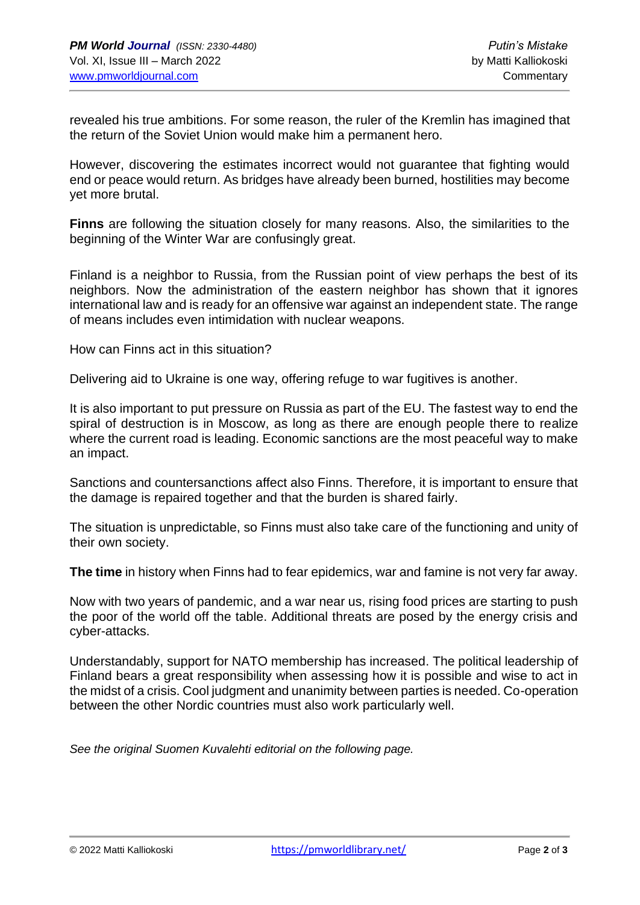revealed his true ambitions. For some reason, the ruler of the Kremlin has imagined that the return of the Soviet Union would make him a permanent hero.

However, discovering the estimates incorrect would not guarantee that fighting would end or peace would return. As bridges have already been burned, hostilities may become yet more brutal.

**Finns** are following the situation closely for many reasons. Also, the similarities to the beginning of the Winter War are confusingly great.

Finland is a neighbor to Russia, from the Russian point of view perhaps the best of its neighbors. Now the administration of the eastern neighbor has shown that it ignores international law and is ready for an offensive war against an independent state. The range of means includes even intimidation with nuclear weapons.

How can Finns act in this situation?

Delivering aid to Ukraine is one way, offering refuge to war fugitives is another.

It is also important to put pressure on Russia as part of the EU. The fastest way to end the spiral of destruction is in Moscow, as long as there are enough people there to realize where the current road is leading. Economic sanctions are the most peaceful way to make an impact.

Sanctions and countersanctions affect also Finns. Therefore, it is important to ensure that the damage is repaired together and that the burden is shared fairly.

The situation is unpredictable, so Finns must also take care of the functioning and unity of their own society.

**The time** in history when Finns had to fear epidemics, war and famine is not very far away.

Now with two years of pandemic, and a war near us, rising food prices are starting to push the poor of the world off the table. Additional threats are posed by the energy crisis and cyber-attacks.

Understandably, support for NATO membership has increased. The political leadership of Finland bears a great responsibility when assessing how it is possible and wise to act in the midst of a crisis. Cool judgment and unanimity between parties is needed. Co-operation between the other Nordic countries must also work particularly well.

*See the original Suomen Kuvalehti editorial on the following page.*